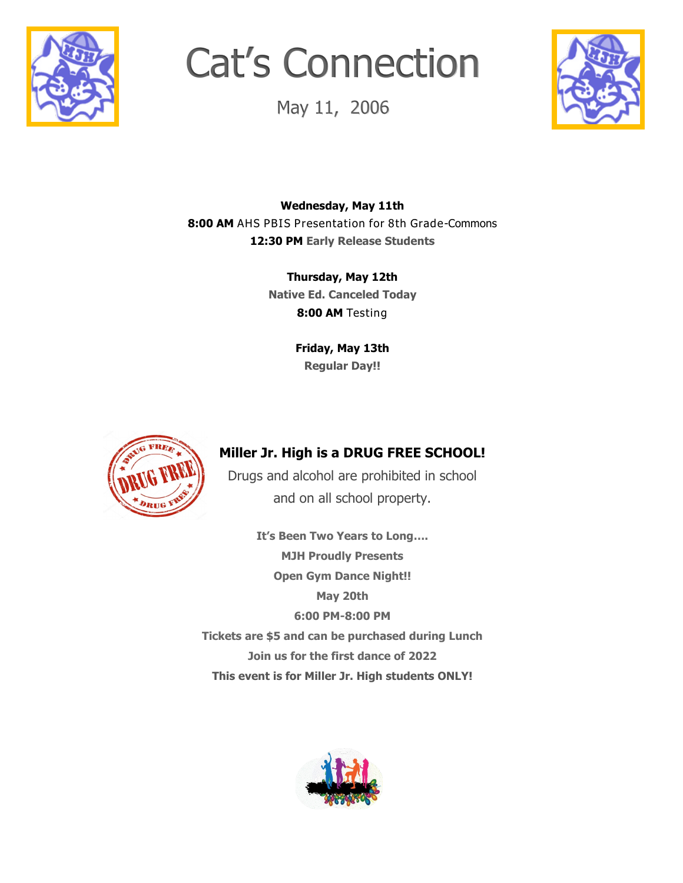

# Cat's Connection

May 11, 2006



**Wednesday, May 11th 8:00 AM** AHS PBIS Presentation for 8th Grade-Commons **12:30 PM Early Release Students**

> **Thursday, May 12th Native Ed. Canceled Today 8:00 AM** Testing

> > **Friday, May 13th Regular Day!!**



## **Miller Jr. High is a DRUG FREE SCHOOL!**

Drugs and alcohol are prohibited in school and on all school property.

**It's Been Two Years to Long…. MJH Proudly Presents Open Gym Dance Night!! May 20th 6:00 PM-8:00 PM Tickets are \$5 and can be purchased during Lunch Join us for the first dance of 2022 This event is for Miller Jr. High students ONLY!**

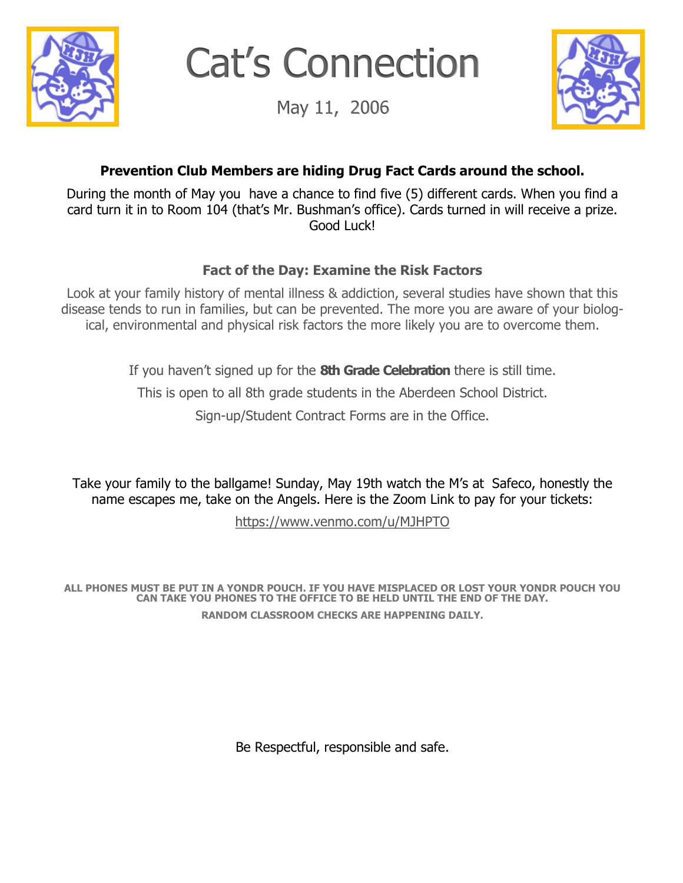

Cat's Connection

May 11, 2006



## **Prevention Club Members are hiding Drug Fact Cards around the school.**

During the month of May you have a chance to find five (5) different cards. When you find a card turn it in to Room 104 (that's Mr. Bushman's office). Cards turned in will receive a prize. Good Luck!

### **Fact of the Day: Examine the Risk Factors**

Look at your family history of mental illness & addiction, several studies have shown that this disease tends to run in families, but can be prevented. The more you are aware of your biological, environmental and physical risk factors the more likely you are to overcome them.

If you haven't signed up for the **8th Grade Celebration** there is still time.

This is open to all 8th grade students in the Aberdeen School District.

Sign-up/Student Contract Forms are in the Office.

Take your family to the ballgame! Sunday, May 19th watch the M's at Safeco, honestly the name escapes me, take on the Angels. Here is the Zoom Link to pay for your tickets:

[https://www.venmo.com/u/MJHPTO](mailto:https://www.venmo.com/u/MJHPTO)

**ALL PHONES MUST BE PUT IN A YONDR POUCH. IF YOU HAVE MISPLACED OR LOST YOUR YONDR POUCH YOU CAN TAKE YOU PHONES TO THE OFFICE TO BE HELD UNTIL THE END OF THE DAY. RANDOM CLASSROOM CHECKS ARE HAPPENING DAILY.**

Be Respectful, responsible and safe.